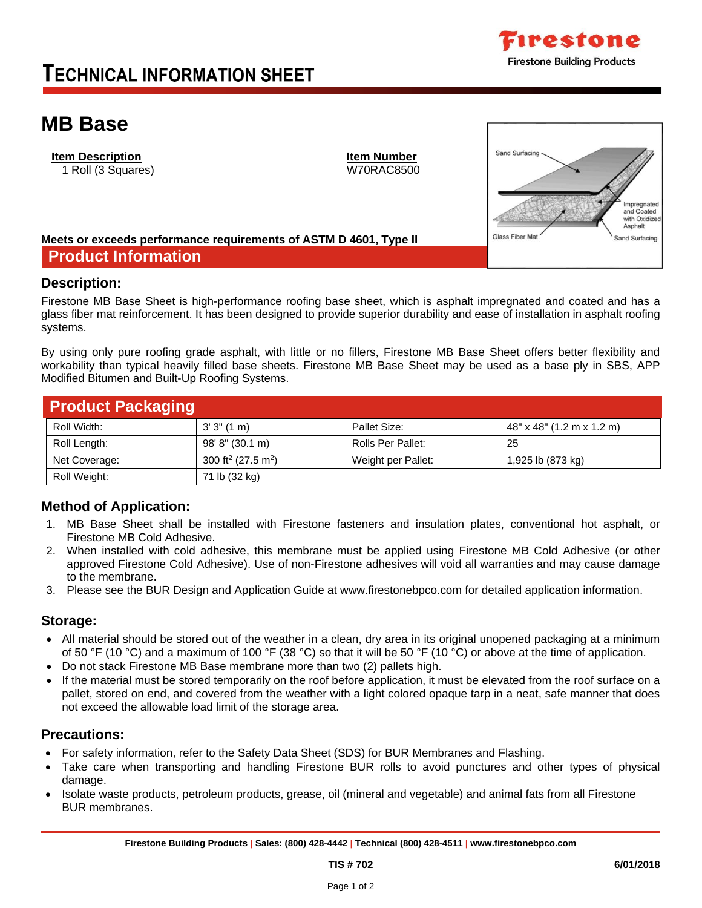

# **TECHNICAL INFORMATION SHEET**

## **MB Base**

**Item Description Item Number** 1 Roll (3 Squares) W70RAC8500



### **Meets or exceeds performance requirements of ASTM D 4601, Type II Product Information**

#### **Description:**

Firestone MB Base Sheet is high-performance roofing base sheet, which is asphalt impregnated and coated and has a glass fiber mat reinforcement. It has been designed to provide superior durability and ease of installation in asphalt roofing systems.

By using only pure roofing grade asphalt, with little or no fillers, Firestone MB Base Sheet offers better flexibility and workability than typical heavily filled base sheets. Firestone MB Base Sheet may be used as a base ply in SBS, APP Modified Bitumen and Built-Up Roofing Systems.

| <b>Product Packaging</b> |                                            |                    |                           |  |  |
|--------------------------|--------------------------------------------|--------------------|---------------------------|--|--|
| Roll Width:              | 3'3''(1 m)                                 | Pallet Size:       | 48" x 48" (1.2 m x 1.2 m) |  |  |
| Roll Length:             | 98' 8" (30.1 m)                            | Rolls Per Pallet:  | -25                       |  |  |
| Net Coverage:            | 300 ft <sup>2</sup> (27.5 m <sup>2</sup> ) | Weight per Pallet: | 1,925 lb (873 kg)         |  |  |
| Roll Weight:             | 71 lb (32 kg)                              |                    |                           |  |  |

### **Method of Application:**

- 1. MB Base Sheet shall be installed with Firestone fasteners and insulation plates, conventional hot asphalt, or Firestone MB Cold Adhesive.
- 2. When installed with cold adhesive, this membrane must be applied using Firestone MB Cold Adhesive (or other approved Firestone Cold Adhesive). Use of non-Firestone adhesives will void all warranties and may cause damage to the membrane.
- 3. Please see the BUR Design and Application Guide at [www.firestonebpco.com](http://www.firestonebpco.com/) for detailed application information.

#### **Storage:**

- All material should be stored out of the weather in a clean, dry area in its original unopened packaging at a minimum of 50 °F (10 °C) and a maximum of 100 °F (38 °C) so that it will be 50 °F (10 °C) or above at the time of application.
- Do not stack Firestone MB Base membrane more than two (2) pallets high.
- If the material must be stored temporarily on the roof before application, it must be elevated from the roof surface on a pallet, stored on end, and covered from the weather with a light colored opaque tarp in a neat, safe manner that does not exceed the allowable load limit of the storage area.

#### **Precautions:**

- For safety information, refer to the Safety Data Sheet (SDS) for BUR Membranes and Flashing.
- Take care when transporting and handling Firestone BUR rolls to avoid punctures and other types of physical damage.
- Isolate waste products, petroleum products, grease, oil (mineral and vegetable) and animal fats from all Firestone BUR membranes.